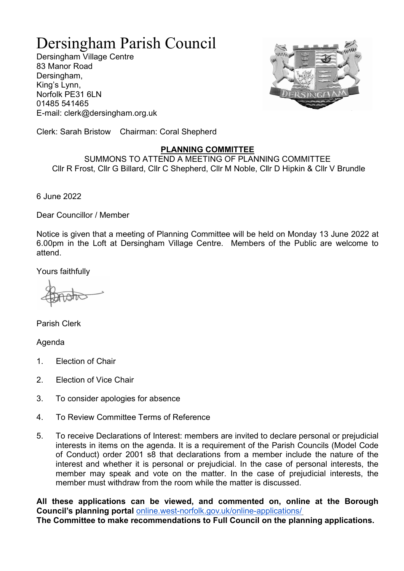## Dersingham Parish Council

Dersingham Village Centre 83 Manor Road Dersingham, King's Lynn, Norfolk PE31 6LN 01485 541465 E-mail: clerk@dersingham.org.uk



Clerk: Sarah Bristow Chairman: Coral Shepherd

## PLANNING COMMITTEE

SUMMONS TO ATTEND A MEETING OF PLANNING COMMITTEE Cllr R Frost, Cllr G Billard, Cllr C Shepherd, Cllr M Noble, Cllr D Hipkin & Cllr V Brundle

6 June 2022

Dear Councillor / Member

Notice is given that a meeting of Planning Committee will be held on Monday 13 June 2022 at 6.00pm in the Loft at Dersingham Village Centre. Members of the Public are welcome to attend.

Yours faithfully

Parish Clerk

Agenda

- 1. Election of Chair
- 2. Election of Vice Chair
- 3. To consider apologies for absence
- 4. To Review Committee Terms of Reference
- 5. To receive Declarations of Interest: members are invited to declare personal or prejudicial interests in items on the agenda. It is a requirement of the Parish Councils (Model Code of Conduct) order 2001 s8 that declarations from a member include the nature of the interest and whether it is personal or prejudicial. In the case of personal interests, the member may speak and vote on the matter. In the case of prejudicial interests, the member must withdraw from the room while the matter is discussed.

All these applications can be viewed, and commented on, online at the Borough Council's planning portal online.west-norfolk.gov.uk/online-applications/ The Committee to make recommendations to Full Council on the planning applications.